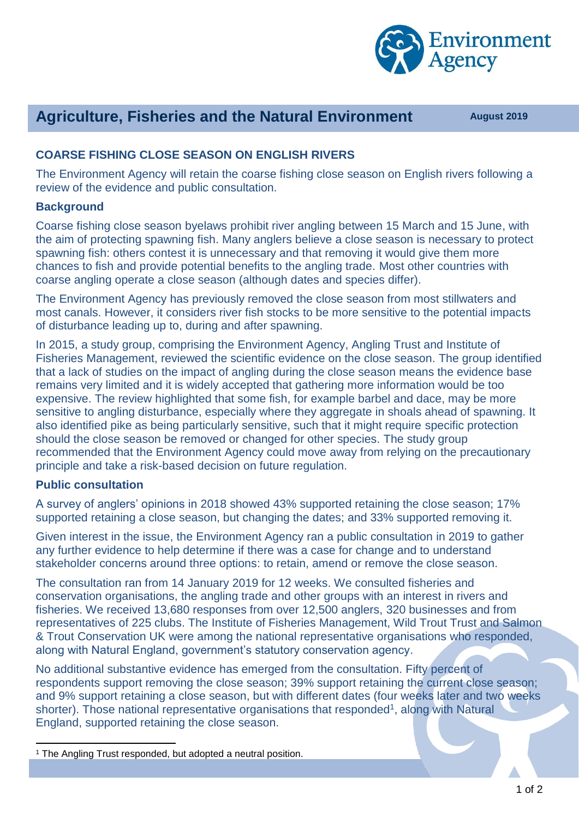

# **Agriculture, Fisheries and the Natural Environment August 2019**

## **COARSE FISHING CLOSE SEASON ON ENGLISH RIVERS**

The Environment Agency will retain the coarse fishing close season on English rivers following a review of the evidence and public consultation.

#### **Background**

Coarse fishing close season byelaws prohibit river angling between 15 March and 15 June, with the aim of protecting spawning fish. Many anglers believe a close season is necessary to protect spawning fish: others contest it is unnecessary and that removing it would give them more chances to fish and provide potential benefits to the angling trade. Most other countries with coarse angling operate a close season (although dates and species differ).

The Environment Agency has previously removed the close season from most stillwaters and most canals. However, it considers river fish stocks to be more sensitive to the potential impacts of disturbance leading up to, during and after spawning.

In 2015, a study group, comprising the Environment Agency, Angling Trust and Institute of Fisheries Management, reviewed the scientific evidence on the close season. The group identified that a lack of studies on the impact of angling during the close season means the evidence base remains very limited and it is widely accepted that gathering more information would be too expensive. The review highlighted that some fish, for example barbel and dace, may be more sensitive to angling disturbance, especially where they aggregate in shoals ahead of spawning. It also identified pike as being particularly sensitive, such that it might require specific protection should the close season be removed or changed for other species. The study group recommended that the Environment Agency could move away from relying on the precautionary principle and take a risk-based decision on future regulation.

### **Public consultation**

 $\overline{a}$ 

A survey of anglers' opinions in 2018 showed 43% supported retaining the close season; 17% supported retaining a close season, but changing the dates; and 33% supported removing it.

Given interest in the issue, the Environment Agency ran a public consultation in 2019 to gather any further evidence to help determine if there was a case for change and to understand stakeholder concerns around three options: to retain, amend or remove the close season.

The consultation ran from 14 January 2019 for 12 weeks. We consulted fisheries and conservation organisations, the angling trade and other groups with an interest in rivers and fisheries. We received 13,680 responses from over 12,500 anglers, 320 businesses and from representatives of 225 clubs. The Institute of Fisheries Management, Wild Trout Trust and Salmon & Trout Conservation UK were among the national representative organisations who responded, along with Natural England, government's statutory conservation agency.

No additional substantive evidence has emerged from the consultation. Fifty percent of respondents support removing the close season; 39% support retaining the current close season; and 9% support retaining a close season, but with different dates (four weeks later and two weeks shorter). Those national representative organisations that responded<sup>1</sup>, along with Natural England, supported retaining the close season.

<sup>&</sup>lt;sup>1</sup> The Angling Trust responded, but adopted a neutral position.